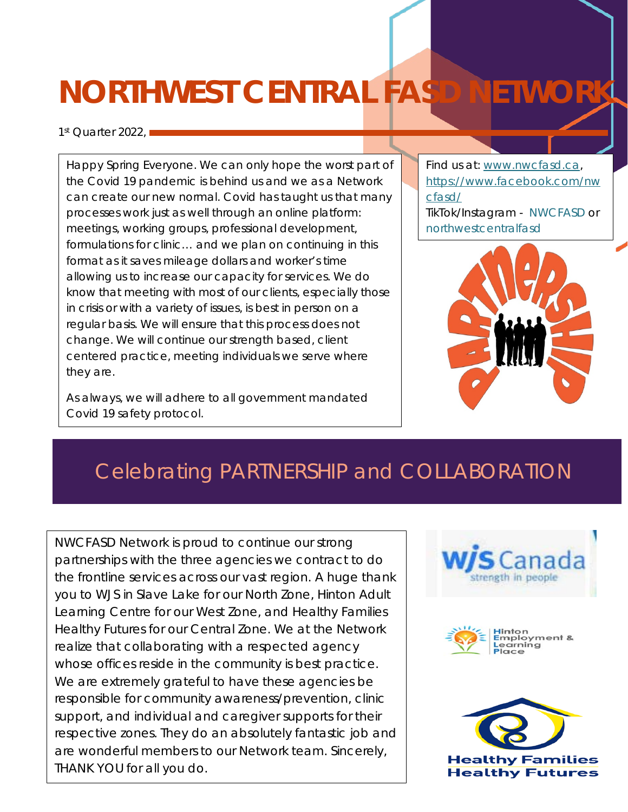## **NORTHWEST CENTRAL FASD NETWORK**

1st Quarter 2022.

you can easily the theory change the theory change the three theory change the three three three three three t  $\frac{1}{2}$  for  $\frac{1}{2}$  for  $\frac{1}{2}$  for  $\frac{1}{2}$  for  $\frac{1}{2}$  for  $\frac{1}{2}$ the document text by the document of the set choosing a look for the look for the local contract of the local contract of the local contract of the local contract of the local contract of the local contract of the local contract of the local contract of the local con  $\frac{1}{\sqrt{2}}$  $\frac{1}{\sqrt{2}}$  is process does not .<br>. . Happy Spring Everyone. We can only hope the worst part of the Covid 19 pandemic is behind us and we as a Network can create our new normal. Covid has taught us that many processes work just as well through an online platform: meetings, working groups, professional development, formulations for clinic… and we plan on continuing in this format as it saves mileage dollars and worker's time allowing us to increase our capacity for services. We do know that meeting with most of our clients, especially those in crisis or with a variety of issues, is best in person on a regular basis. We will ensure that this process does not change. We will continue our strength based, client centered practice, meeting individuals we serve where they are.

As always, we will adhere to all government mandated Covid 19 safety protocol.

Find us at: [www.nwcfasd.ca,](http://www.nwcfasd.ca/) [https://www.facebook.com/nw](https://www.facebook.com/nwcfasd/) [cfasd/](https://www.facebook.com/nwcfasd/)  TikTok/Instagram - NWCFASD or northwestcentralfasd



## Celebrating PARTNERSHIP and COLLABORATION

NWCFASD Network is proud to continue our strong partnerships with the three agencies we contract to do the frontline services across our vast region. A huge thank you to WJS in Slave Lake for our North Zone, Hinton Adult Learning Centre for our West Zone, and Healthy Families Healthy Futures for our Central Zone. We at the Network realize that collaborating with a respected agency whose offices reside in the community is best practice. We are extremely grateful to have these agencies be responsible for community awareness/prevention, clinic support, and individual and caregiver supports for their respective zones. They do an absolutely fantastic job and are wonderful members to our Network team. Sincerely, THANK YOU for all you do.



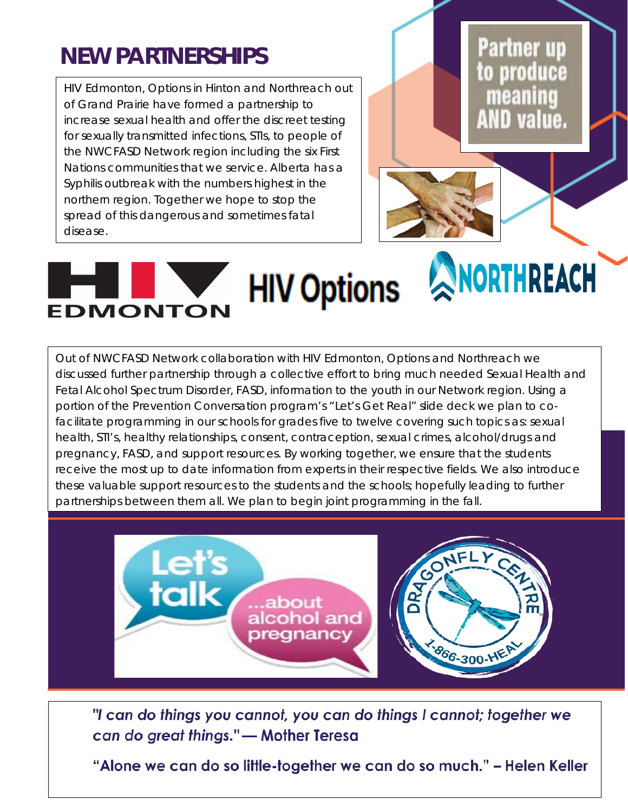## **NEW PARTNERSHIPS**

HIV Edmonton, Options in Hinton and Northreach out of Grand Prairie have formed a partnership to increase sexual health and offer the discreet testing for sexually transmitted infections, STIs, to people of the NWCFASD Network region including the six First Nations communities that we service. Alberta has a Syphilis outbreak with the numbers highest in the northern region. Together we hope to stop the spread of this dangerous and sometimes fatal disease.

**Partner up** to produce meaning AND value.

## **HIV Options & NORTHREACH** EDMONTON

Out of NWCFASD Network collaboration with HIV Edmonton, Options and Northreach we discussed further partnership through a collective effort to bring much needed Sexual Health and Fetal Alcohol Spectrum Disorder, FASD, information to the youth in our Network region. Using a portion of the Prevention Conversation program's "Let's Get Real" slide deck we plan to cofacilitate programming in our schools for grades five to twelve covering such topics as: sexual health, STI's, healthy relationships, consent, contraception, sexual crimes, alcohol/drugs and pregnancy, FASD, and support resources. By working together, we ensure that the students receive the most up to date information from experts in their respective fields. We also introduce these valuable support resources to the students and the schools; hopefully leading to further partnerships between them all. We plan to begin joint programming in the fall.



"I can do things you cannot, you can do things I cannot; together we can do great things." - Mother Teresa

"Alone we can do so little-together we can do so much." - Helen Keller